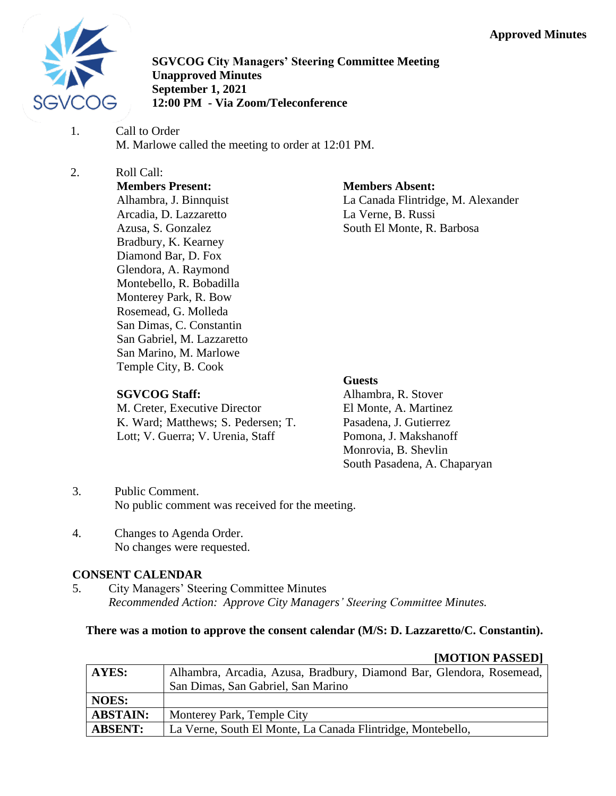

**SGVCOG City Managers' Steering Committee Meeting Unapproved Minutes September 1, 2021 12:00 PM - Via Zoom/Teleconference**

1. Call to Order M. Marlowe called the meeting to order at 12:01 PM.

#### 2. Roll Call: **Members Present:**

Alhambra, J. Binnquist Arcadia, D. Lazzaretto Azusa, S. Gonzalez Bradbury, K. Kearney Diamond Bar, D. Fox Glendora, A. Raymond Montebello, R. Bobadilla Monterey Park, R. Bow Rosemead, G. Molleda San Dimas, C. Constantin San Gabriel, M. Lazzaretto San Marino, M. Marlowe Temple City, B. Cook

# **Members Absent:**

La Canada Flintridge, M. Alexander La Verne, B. Russi South El Monte, R. Barbosa

# **SGVCOG Staff:**

M. Creter, Executive Director K. Ward; Matthews; S. Pedersen; T. Lott; V. Guerra; V. Urenia, Staff

## **Guests**

Alhambra, R. Stover El Monte, A. Martinez Pasadena, J. Gutierrez Pomona, J. Makshanoff Monrovia, B. Shevlin South Pasadena, A. Chaparyan

- 3. Public Comment. No public comment was received for the meeting.
- 4. Changes to Agenda Order. No changes were requested.

# **CONSENT CALENDAR**

5. City Managers' Steering Committee Minutes *Recommended Action: Approve City Managers' Steering Committee Minutes.*

# **There was a motion to approve the consent calendar (M/S: D. Lazzaretto/C. Constantin).**

|                 | <b>HUU LIUIN LADDED I</b>                                            |
|-----------------|----------------------------------------------------------------------|
| AYES:           | Alhambra, Arcadia, Azusa, Bradbury, Diamond Bar, Glendora, Rosemead, |
|                 | San Dimas, San Gabriel, San Marino                                   |
| <b>NOES:</b>    |                                                                      |
| <b>ABSTAIN:</b> | Monterey Park, Temple City                                           |
| <b>ABSENT:</b>  | La Verne, South El Monte, La Canada Flintridge, Montebello,          |

# **[MOTION PASSED]**